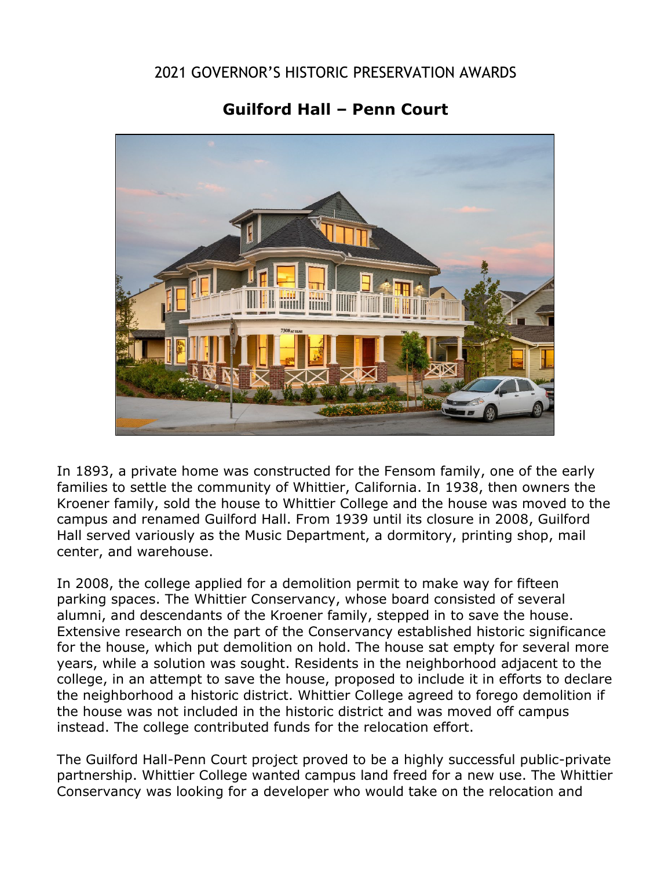## 2021 GOVERNOR'S HISTORIC PRESERVATION AWARDS

## **Guilford Hall – Penn Court**



In 1893, a private home was constructed for the Fensom family, one of the early families to settle the community of Whittier, California. In 1938, then owners the Kroener family, sold the house to Whittier College and the house was moved to the campus and renamed Guilford Hall. From 1939 until its closure in 2008, Guilford Hall served variously as the Music Department, a dormitory, printing shop, mail center, and warehouse.

In 2008, the college applied for a demolition permit to make way for fifteen parking spaces. The Whittier Conservancy, whose board consisted of several alumni, and descendants of the Kroener family, stepped in to save the house. Extensive research on the part of the Conservancy established historic significance for the house, which put demolition on hold. The house sat empty for several more years, while a solution was sought. Residents in the neighborhood adjacent to the college, in an attempt to save the house, proposed to include it in efforts to declare the neighborhood a historic district. Whittier College agreed to forego demolition if the house was not included in the historic district and was moved off campus instead. The college contributed funds for the relocation effort.

The Guilford Hall-Penn Court project proved to be a highly successful public-private partnership. Whittier College wanted campus land freed for a new use. The Whittier Conservancy was looking for a developer who would take on the relocation and